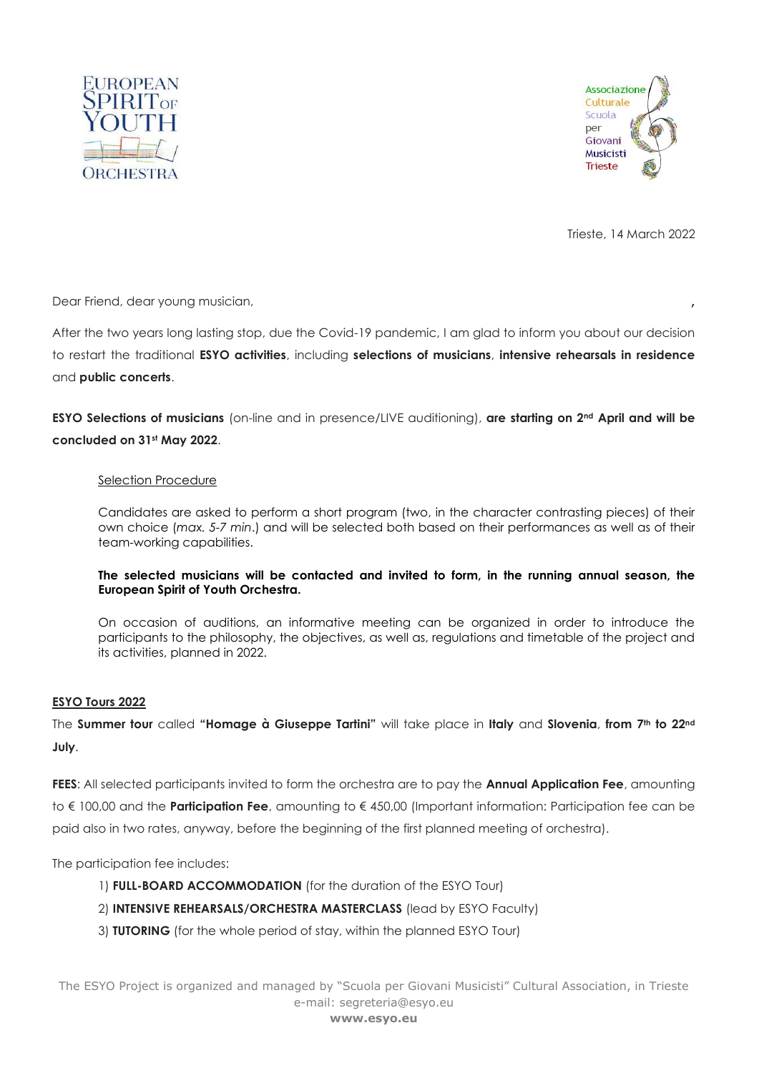



Trieste, 14 March 2022

Dear Friend, dear young musician,

After the two years long lasting stop, due the Covid-19 pandemic, I am glad to inform you about our decision to restart the traditional **ESYO activities**, including **selections of musicians**, **intensive rehearsals in residence** and **public concerts**.

**ESYO Selections of musicians** (on-line and in presence/LIVE auditioning), **are starting on 2nd April and will be concluded on 31st May 2022**.

## Selection Procedure

Candidates are asked to perform a short program (two, in the character contrasting pieces) of their own choice (*max. 5-7 min*.) and will be selected both based on their performances as well as of their team-working capabilities.

## **The selected musicians will be contacted and invited to form, in the running annual season, the European Spirit of Youth Orchestra.**

On occasion of auditions, an informative meeting can be organized in order to introduce the participants to the philosophy, the objectives, as well as, regulations and timetable of the project and its activities, planned in 2022.

## **ESYO Tours 2022**

The **Summer tour** called **"Homage à Giuseppe Tartini"** will take place in **Italy** and **Slovenia**, **from 7th to 22nd July**.

**FEES**: All selected participants invited to form the orchestra are to pay the **Annual Application Fee**, amounting to € 100,00 and the **Participation Fee**, amounting to € 450,00 (Important information: Participation fee can be paid also in two rates, anyway, before the beginning of the first planned meeting of orchestra).

The participation fee includes:

- 1) **FULL-BOARD ACCOMMODATION** (for the duration of the ESYO Tour)
- 2) **INTENSIVE REHEARSALS/ORCHESTRA MASTERCLASS** (lead by ESYO Faculty)
- 3) **TUTORING** (for the whole period of stay, within the planned ESYO Tour)

The ESYO Project is organized and managed by "Scuola per Giovani Musicisti" Cultural Association, in Trieste e-mail: segreteria@esyo.eu **www.esyo.eu**